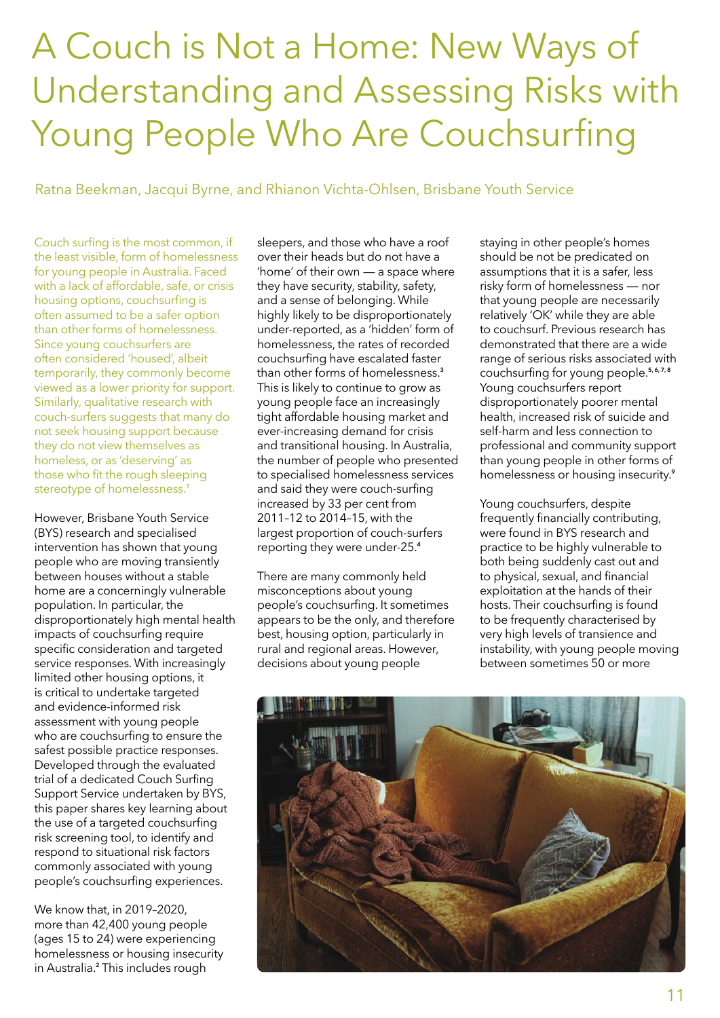## A Couch is Not a Home: New Ways of Understanding and Assessing Risks with Young People Who Are Couchsurfing

Ratna Beekman, Jacqui Byrne, and Rhianon Vichta-Ohlsen, Brisbane Youth Service

Couch surfing is the most common, if the least visible, form of homelessness for young people in Australia. Faced with a lack of affordable, safe, or crisis housing options, couchsurfing is often assumed to be a safer option than other forms of homelessness. Since young couchsurfers are often considered 'housed', albeit temporarily, they commonly become viewed as a lower priority for support. Similarly, qualitative research with couch-surfers suggests that many do not seek housing support because they do not view themselves as homeless, or as 'deserving' as those who fit the rough sleeping stereotype of homelessness.<sup>1</sup>

However, Brisbane Youth Service (BYS) research and specialised intervention has shown that young people who are moving transiently between houses without a stable home are a concerningly vulnerable population. In particular, the disproportionately high mental health impacts of couchsurfing require specific consideration and targeted service responses. With increasingly limited other housing options, it is critical to undertake targeted and evidence-informed risk assessment with young people who are couchsurfing to ensure the safest possible practice responses. Developed through the evaluated trial of a dedicated Couch Surfing Support Service undertaken by BYS, this paper shares key learning about the use of a targeted couchsurfing risk screening tool, to identify and respond to situational risk factors commonly associated with young people's couchsurfing experiences.

We know that, in 2019–2020, more than 42,400 young people (ages 15 to 24) were experiencing homelessness or housing insecurity in Australia.**<sup>2</sup>** This includes rough

sleepers, and those who have a roof over their heads but do not have a 'home' of their own — a space where they have security, stability, safety, and a sense of belonging. While highly likely to be disproportionately under-reported, as a 'hidden' form of homelessness, the rates of recorded couchsurfing have escalated faster than other forms of homelessness.**<sup>3</sup>** This is likely to continue to grow as young people face an increasingly tight affordable housing market and ever-increasing demand for crisis and transitional housing. In Australia, the number of people who presented to specialised homelessness services and said they were couch‑surfing increased by 33 per cent from 2011–12 to 2014–15, with the largest proportion of couch-surfers reporting they were under-25.**<sup>4</sup>**

There are many commonly held misconceptions about young people's couchsurfing. It sometimes appears to be the only, and therefore best, housing option, particularly in rural and regional areas. However, decisions about young people

staying in other people's homes should be not be predicated on assumptions that it is a safer, less risky form of homelessness — nor that young people are necessarily relatively 'OK' while they are able to couchsurf. Previous research has demonstrated that there are a wide range of serious risks associated with couchsurfing for young people.**5, 6, 7, 8** Young couchsurfers report disproportionately poorer mental health, increased risk of suicide and self-harm and less connection to professional and community support than young people in other forms of homelessness or housing insecurity.**<sup>9</sup>**

Young couchsurfers, despite frequently financially contributing, were found in BYS research and practice to be highly vulnerable to both being suddenly cast out and to physical, sexual, and financial exploitation at the hands of their hosts. Their couchsurfing is found to be frequently characterised by very high levels of transience and instability, with young people moving between sometimes 50 or more

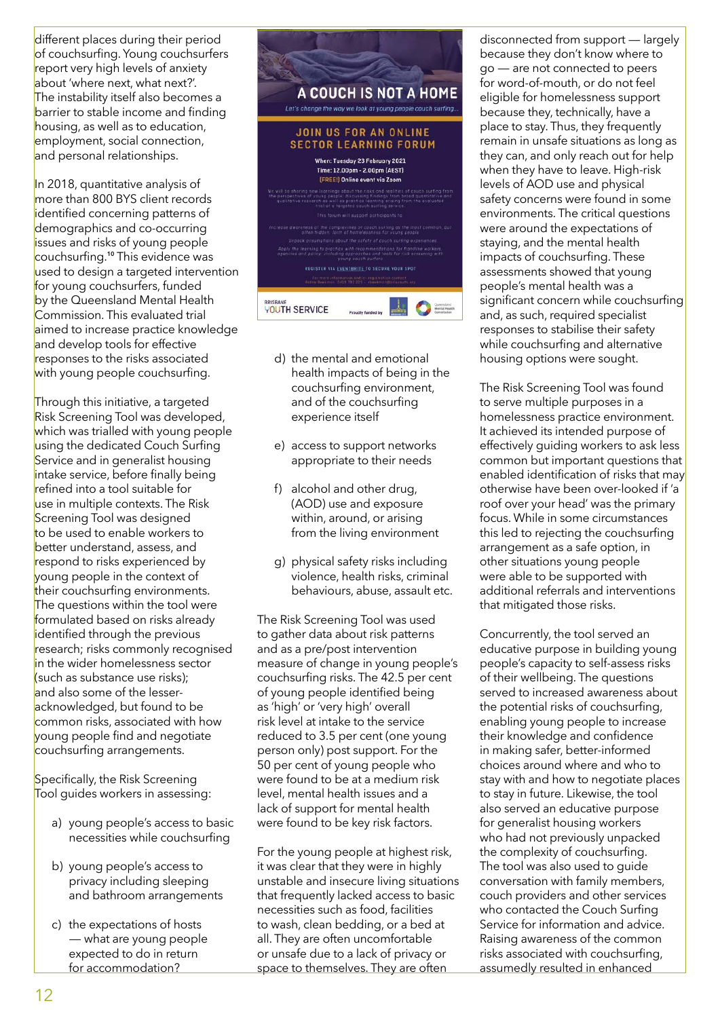different places during their period of couchsurfing. Young couchsurfers report very high levels of anxiety about 'where next, what next?'. The instability itself also becomes a barrier to stable income and finding housing, as well as to education, employment, social connection, and personal relationships.

In 2018, quantitative analysis of more than 800 BYS client records identified concerning patterns of demographics and co-occurring issues and risks of young people couchsurfing.**<sup>10</sup>** This evidence was used to design a targeted intervention for young couchsurfers, funded by the Queensland Mental Health Commission. This evaluated trial aimed to increase practice knowledge and develop tools for effective responses to the risks associated with young people couchsurfing.

Through this initiative, a targeted **Risk Screening Tool was developed,** which was trialled with young people using the dedicated Couch Surfing Service and in generalist housing intake service, before finally being refined into a tool suitable for use in multiple contexts. The Risk Screening Tool was designed to be used to enable workers to better understand, assess, and respond to risks experienced by young people in the context of their couchsurfing environments. The questions within the tool were formulated based on risks already identified through the previous research; risks commonly recognised in the wider homelessness sector (such as substance use risks); and also some of the lesseracknowledged, but found to be common risks, associated with how young people find and negotiate couchsurfing arrangements.

Specifically, the Risk Screening Tool quides workers in assessing:

- a) young people's access to basic necessities while couchsurfing
- b) young people's access to privacy including sleeping and bathroom arrangements
- c) the expectations of hosts — what are young people expected to do in return for accommodation?



- d) the mental and emotional health impacts of being in the couchsurfing environment, and of the couchsurfing experience itself
- e) access to support networks appropriate to their needs
- f) alcohol and other drug, (AOD) use and exposure within, around, or arising from the living environment
- g) physical safety risks including violence, health risks, criminal behaviours, abuse, assault etc.

The Risk Screening Tool was used to gather data about risk patterns and as a pre/post intervention measure of change in young people's couchsurfing risks. The 42.5 per cent of young people identified being as 'high' or 'very high' overall risk level at intake to the service reduced to 3.5 per cent (one young person only) post support. For the 50 per cent of young people who were found to be at a medium risk level, mental health issues and a lack of support for mental health were found to be key risk factors.

For the young people at highest risk, it was clear that they were in highly unstable and insecure living situations that frequently lacked access to basic necessities such as food, facilities to wash, clean bedding, or a bed at all. They are often uncomfortable or unsafe due to a lack of privacy or space to themselves. They are often

disconnected from support — largely because they don't know where to go — are not connected to peers for word-of-mouth, or do not feel eligible for homelessness support because they, technically, have a place to stay. Thus, they frequently remain in unsafe situations as long as they can, and only reach out for help when they have to leave. High-risk levels of AOD use and physical safety concerns were found in some environments. The critical questions were around the expectations of staying, and the mental health impacts of couchsurfing. These assessments showed that young people's mental health was a significant concern while couchsurfing and, as such, required specialist responses to stabilise their safety while couchsurfing and alternative housing options were sought.

The Risk Screening Tool was found to serve multiple purposes in a homelessness practice environment. It achieved its intended purpose of effectively guiding workers to ask less common but important questions that enabled identification of risks that may otherwise have been over-looked if 'a roof over your head' was the primary focus. While in some circumstances this led to rejecting the couchsurfing arrangement as a safe option, in other situations young people were able to be supported with additional referrals and interventions that mitigated those risks.

Concurrently, the tool served an educative purpose in building young people's capacity to self-assess risks of their wellbeing. The questions served to increased awareness about the potential risks of couchsurfing, enabling young people to increase their knowledge and confidence in making safer, better-informed choices around where and who to stay with and how to negotiate places to stay in future. Likewise, the tool also served an educative purpose for generalist housing workers who had not previously unpacked the complexity of couchsurfing. The tool was also used to guide conversation with family members, couch providers and other services who contacted the Couch Surfing Service for information and advice. Raising awareness of the common risks associated with couchsurfing, assumedly resulted in enhanced